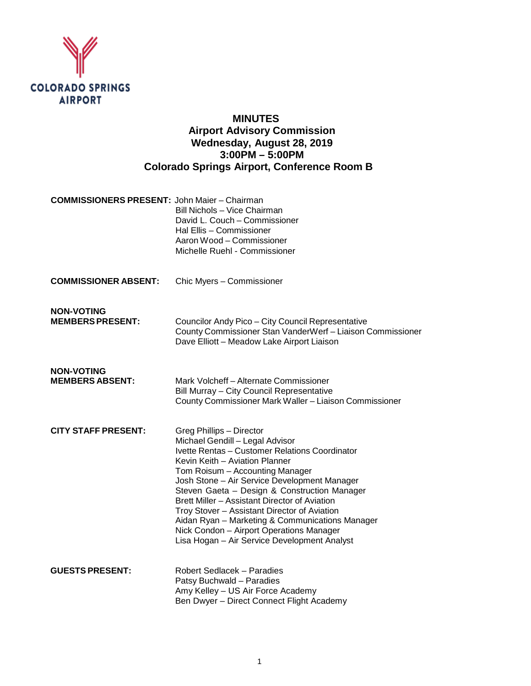

# **MINUTES Airport Advisory Commission Wednesday, August 28, 2019 3:00PM – 5:00PM Colorado Springs Airport, Conference Room B**

| <b>COMMISSIONERS PRESENT: John Maier - Chairman</b> |
|-----------------------------------------------------|
| Bill Nichols - Vice Chairman                        |
| David L. Couch – Commissioner                       |
| Hal Ellis - Commissioner                            |
| Aaron Wood – Commissioner                           |
| Michelle Ruehl - Commissioner                       |
|                                                     |

**COMMISSIONER ABSENT:** Chic Myers – Commissioner

**NON-VOTING**

**Councilor Andy Pico – City Council Representative** County Commissioner Stan VanderWerf – Liaison Commissioner Dave Elliott – Meadow Lake Airport Liaison

**NON-VOTING**

**Mark Volcheff – Alternate Commissioner** Bill Murray – City Council Representative County Commissioner Mark Waller – Liaison Commissioner

**CITY STAFF PRESENT:** Greg Phillips – Director Michael Gendill – Legal Advisor Ivette Rentas – Customer Relations Coordinator Kevin Keith – Aviation Planner Tom Roisum – Accounting Manager Josh Stone – Air Service Development Manager Steven Gaeta – Design & Construction Manager Brett Miller – Assistant Director of Aviation Troy Stover – Assistant Director of Aviation Aidan Ryan – Marketing & Communications Manager Nick Condon – Airport Operations Manager Lisa Hogan – Air Service Development Analyst

**GUESTS PRESENT:** Robert Sedlacek – Paradies Patsy Buchwald – Paradies Amy Kelley – US Air Force Academy Ben Dwyer – Direct Connect Flight Academy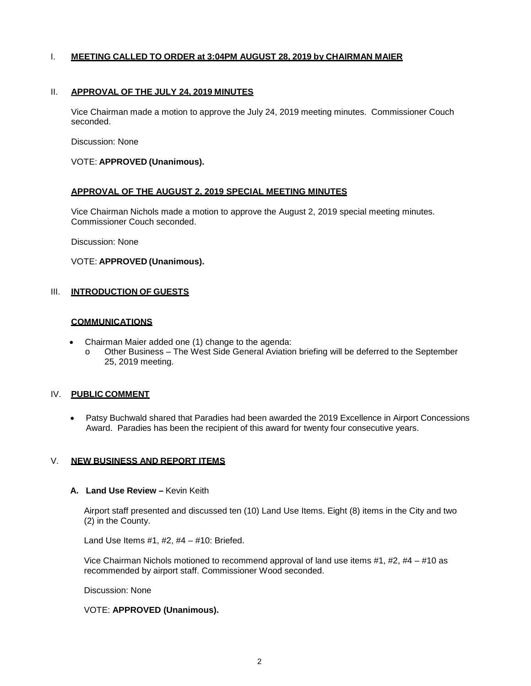### I. **MEETING CALLED TO ORDER at 3:04PM AUGUST 28, 2019 by CHAIRMAN MAIER**

#### II. **APPROVAL OF THE JULY 24, 2019 MINUTES**

Vice Chairman made a motion to approve the July 24, 2019 meeting minutes. Commissioner Couch seconded.

Discussion: None

#### VOTE: **APPROVED (Unanimous).**

#### **APPROVAL OF THE AUGUST 2, 2019 SPECIAL MEETING MINUTES**

Vice Chairman Nichols made a motion to approve the August 2, 2019 special meeting minutes. Commissioner Couch seconded.

Discussion: None

#### VOTE: **APPROVED (Unanimous).**

#### III. **INTRODUCTION OF GUESTS**

### **COMMUNICATIONS**

- Chairman Maier added one (1) change to the agenda:
	- o Other Business The West Side General Aviation briefing will be deferred to the September 25, 2019 meeting.

#### IV. **PUBLIC COMMENT**

• Patsy Buchwald shared that Paradies had been awarded the 2019 Excellence in Airport Concessions Award. Paradies has been the recipient of this award for twenty four consecutive years.

### V. **NEW BUSINESS AND REPORT ITEMS**

### **A. Land Use Review –** Kevin Keith

Airport staff presented and discussed ten (10) Land Use Items. Eight (8) items in the City and two (2) in the County.

Land Use Items  $#1, #2, #4 - #10$ : Briefed.

Vice Chairman Nichols motioned to recommend approval of land use items #1, #2, #4 – #10 as recommended by airport staff. Commissioner Wood seconded.

Discussion: None

### VOTE: **APPROVED (Unanimous).**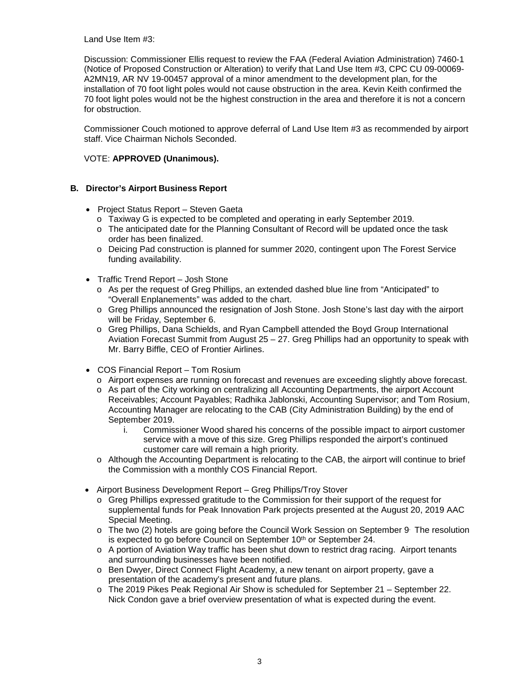Land Use Item #3:

Discussion: Commissioner Ellis request to review the FAA (Federal Aviation Administration) 7460-1 (Notice of Proposed Construction or Alteration) to verify that Land Use Item #3, CPC CU 09-00069- A2MN19, AR NV 19-00457 approval of a minor amendment to the development plan, for the installation of 70 foot light poles would not cause obstruction in the area. Kevin Keith confirmed the 70 foot light poles would not be the highest construction in the area and therefore it is not a concern for obstruction.

Commissioner Couch motioned to approve deferral of Land Use Item #3 as recommended by airport staff. Vice Chairman Nichols Seconded.

## VOTE: **APPROVED (Unanimous).**

## **B. Director's Airport Business Report**

- Project Status Report Steven Gaeta
	- o Taxiway G is expected to be completed and operating in early September 2019.
	- o The anticipated date for the Planning Consultant of Record will be updated once the task order has been finalized.
	- o Deicing Pad construction is planned for summer 2020, contingent upon The Forest Service funding availability.
- Traffic Trend Report Josh Stone
	- o As per the request of Greg Phillips, an extended dashed blue line from "Anticipated" to "Overall Enplanements" was added to the chart.
	- o Greg Phillips announced the resignation of Josh Stone. Josh Stone's last day with the airport will be Friday, September 6.
	- o Greg Phillips, Dana Schields, and Ryan Campbell attended the Boyd Group International Aviation Forecast Summit from August  $25 - 27$ . Greg Phillips had an opportunity to speak with Mr. Barry Biffle, CEO of Frontier Airlines.
- COS Financial Report Tom Rosium
	- o Airport expenses are running on forecast and revenues are exceeding slightly above forecast.
	- o As part of the City working on centralizing all Accounting Departments, the airport Account Receivables; Account Payables; Radhika Jablonski, Accounting Supervisor; and Tom Rosium, Accounting Manager are relocating to the CAB (City Administration Building) by the end of September 2019.
		- i. Commissioner Wood shared his concerns of the possible impact to airport customer service with a move of this size. Greg Phillips responded the airport's continued customer care will remain a high priority.
	- o Although the Accounting Department is relocating to the CAB, the airport will continue to brief the Commission with a monthly COS Financial Report.
- Airport Business Development Report Greg Phillips/Troy Stover
	- o Greg Phillips expressed gratitude to the Commission for their support of the request for supplemental funds for Peak Innovation Park projects presented at the August 20, 2019 AAC Special Meeting.
	- o The two (2) hotels are going before the Council Work Session on September 9. The resolution is expected to go before Council on September 10<sup>th</sup> or September 24.
	- o A portion of Aviation Way traffic has been shut down to restrict drag racing. Airport tenants and surrounding businesses have been notified.
	- o Ben Dwyer, Direct Connect Flight Academy, a new tenant on airport property, gave a presentation of the academy's present and future plans.
	- o The 2019 Pikes Peak Regional Air Show is scheduled for September 21 September 22. Nick Condon gave a brief overview presentation of what is expected during the event.